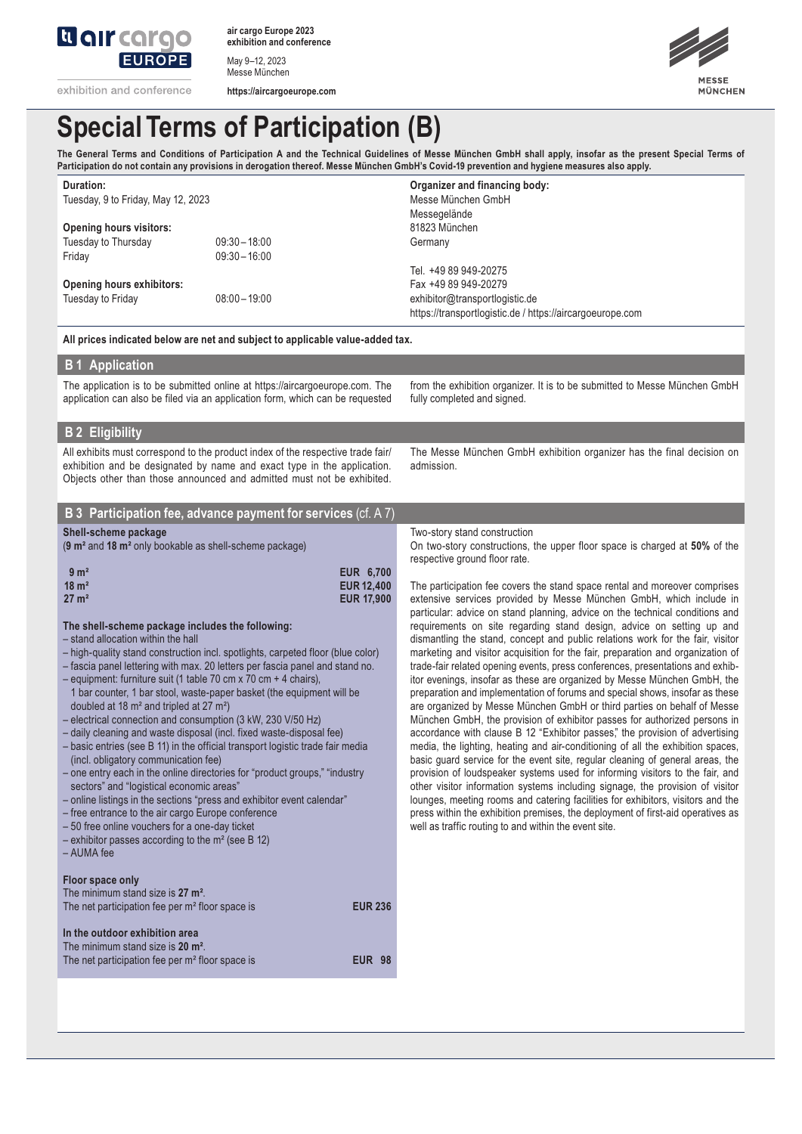

**air cargo Europe 2023 exhibition and conference**

May 9–12, 2023 Messe München

**https://aircargoeurope.com**



# **Special Terms of Participation (B)**

The General Terms and Conditions of Participation A and the Technical Guidelines of Messe München GmbH shall apply, insofar as the present Special Terms of **Participation do not contain any provisions in derogation thereof. Messe München GmbH's Covid-19 prevention and hygiene measures also apply.**

| Duration:                                                            |                 | Organizer and financing body:                             |  |
|----------------------------------------------------------------------|-----------------|-----------------------------------------------------------|--|
| Tuesday, 9 to Friday, May 12, 2023<br><b>Opening hours visitors:</b> |                 | Messe München GmbH                                        |  |
|                                                                      |                 | Messegelände                                              |  |
|                                                                      |                 | 81823 München                                             |  |
| Tuesday to Thursday                                                  | $09:30 - 18:00$ | Germany                                                   |  |
| Friday                                                               | $09:30 - 16:00$ |                                                           |  |
|                                                                      |                 | Tel. +49 89 949-20275                                     |  |
| Opening hours exhibitors:                                            |                 | Fax +49 89 949-20279                                      |  |
| Tuesday to Friday                                                    | $08:00 - 19:00$ | exhibitor@transportlogistic.de                            |  |
|                                                                      |                 | https://transportlogistic.de / https://aircargoeurope.com |  |

**All prices indicated below are net and subject to applicable value-added tax.**

## **B 1 Application**

The application is to be submitted online at https://aircargoeurope.com. The application can also be filed via an application form, which can be requested

from the exhibition organizer. It is to be submitted to Messe München GmbH fully completed and signed.

## **B 2 Eligibility**

All exhibits must correspond to the product index of the respective trade fair/ exhibition and be designated by name and exact type in the application. Objects other than those announced and admitted must not be exhibited.

The Messe München GmbH exhibition organizer has the final decision on admission.

|  |  | <b>B</b> 3 Participation fee, advance payment for services (cf. A 7) |
|--|--|----------------------------------------------------------------------|
|  |  |                                                                      |

#### **Shell-scheme package**

(**9 m²** and **18 m²** only bookable as shell-scheme package)

| 9 <sup>m²</sup>  | <b>EUR 6.700</b>  |
|------------------|-------------------|
| $18 \text{ m}^2$ | <b>EUR 12,400</b> |
| $27 \text{ m}^2$ | <b>EUR 17,900</b> |

#### **The shell-scheme package includes the following:**

- stand allocation within the hall
- high-quality stand construction incl. spotlights, carpeted floor (blue color)
- fascia panel lettering with max. 20 letters per fascia panel and stand no.
- equipment: furniture suit (1 table 70 cm x 70 cm + 4 chairs),
- 1 bar counter, 1 bar stool, waste-paper basket (the equipment will be doubled at 18 m² and tripled at 27 m²)
- electrical connection and consumption (3 kW, 230 V/50 Hz)
- daily cleaning and waste disposal (incl. fixed waste-disposal fee)
- basic entries (see B 11) in the official transport logistic trade fair media (incl. obligatory communication fee)
- one entry each in the online directories for "product groups," "industry sectors" and "logistical economic areas"
- online listings in the sections "press and exhibitor event calendar"
- free entrance to the air cargo Europe conference
- 
- 50 free online vouchers for a one-day ticket – exhibitor passes according to the m² (see B 12)
- 
- AUMA fee

## **Floor space only**

| The minimum stand size is 27 m <sup>2</sup> .<br>The net participation fee per m <sup>2</sup> floor space is                                   | <b>EUR 236</b> |  |
|------------------------------------------------------------------------------------------------------------------------------------------------|----------------|--|
| In the outdoor exhibition area<br>The minimum stand size is 20 m <sup>2</sup> .<br>The net participation fee per m <sup>2</sup> floor space is | <b>EUR 98</b>  |  |

Two-story stand construction

On two-story constructions, the upper floor space is charged at **50%** of the respective ground floor rate.

The participation fee covers the stand space rental and moreover comprises extensive services provided by Messe München GmbH, which include in particular: advice on stand planning, advice on the technical conditions and requirements on site regarding stand design, advice on setting up and dismantling the stand, concept and public relations work for the fair, visitor marketing and visitor acquisition for the fair, preparation and organization of trade-fair related opening events, press conferences, presentations and exhibitor evenings, insofar as these are organized by Messe München GmbH, the preparation and implementation of forums and special shows, insofar as these are organized by Messe München GmbH or third parties on behalf of Messe München GmbH, the provision of exhibitor passes for authorized persons in accordance with clause B 12 "Exhibitor passes," the provision of advertising media, the lighting, heating and air-conditioning of all the exhibition spaces, basic guard service for the event site, regular cleaning of general areas, the provision of loudspeaker systems used for informing visitors to the fair, and other visitor information systems including signage, the provision of visitor lounges, meeting rooms and catering facilities for exhibitors, visitors and the press within the exhibition premises, the deployment of first-aid operatives as well as traffic routing to and within the event site.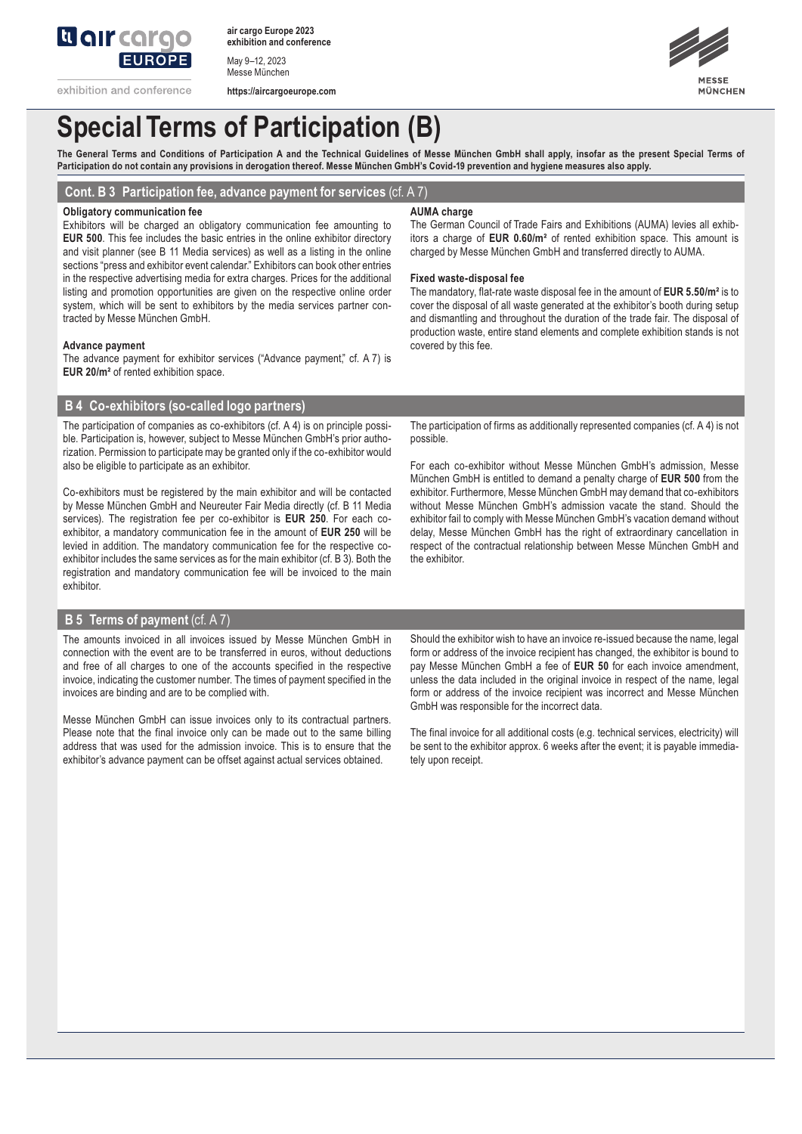

**air cargo Europe 2023 exhibition and conference**

May 9–12, 2023 Messe München

**https://aircargoeurope.com**



# **Special Terms of Participation (B)**

The General Terms and Conditions of Participation A and the Technical Guidelines of Messe München GmbH shall apply, insofar as the present Special Terms of **Participation do not contain any provisions in derogation thereof. Messe München GmbH's Covid-19 prevention and hygiene measures also apply.**

**Cont. B 3 Participation fee, advance payment for services** (cf. A 7)

### **Obligatory communication fee**

Exhibitors will be charged an obligatory communication fee amounting to **EUR 500**. This fee includes the basic entries in the online exhibitor directory and visit planner (see B 11 Media services) as well as a listing in the online sections "press and exhibitor event calendar." Exhibitors can book other entries in the respective advertising media for extra charges. Prices for the additional listing and promotion opportunities are given on the respective online order system, which will be sent to exhibitors by the media services partner contracted by Messe München GmbH.

## **Advance payment**

The advance payment for exhibitor services ("Advance payment," cf. A 7) is **EUR 20/m²** of rented exhibition space.

# **B 4 Co-exhibitors (so-called logo partners)**

The participation of companies as co-exhibitors (cf. A 4) is on principle possible. Participation is, however, subject to Messe München GmbH's prior authorization. Permission to participate may be granted only if the co-exhibitor would also be eligible to participate as an exhibitor.

Co-exhibitors must be registered by the main exhibitor and will be contacted by Messe München GmbH and Neureuter Fair Media directly (cf. B 11 Media services). The registration fee per co-exhibitor is **EUR 250**. For each coexhibitor, a mandatory communication fee in the amount of **EUR 250** will be levied in addition. The mandatory communication fee for the respective coexhibitor includes the same services as for the main exhibitor (cf. B 3). Both the registration and mandatory communication fee will be invoiced to the main exhibitor.

## **B 5 Terms of payment** (cf. A 7)

The amounts invoiced in all invoices issued by Messe München GmbH in connection with the event are to be transferred in euros, without deductions and free of all charges to one of the accounts specified in the respective invoice, indicating the customer number. The times of payment specified in the invoices are binding and are to be complied with.

Messe München GmbH can issue invoices only to its contractual partners. Please note that the final invoice only can be made out to the same billing address that was used for the admission invoice. This is to ensure that the exhibitor's advance payment can be offset against actual services obtained.

#### **AUMA charge**

The German Council of Trade Fairs and Exhibitions (AUMA) levies all exhibitors a charge of **EUR 0.60/m²** of rented exhibition space. This amount is charged by Messe München GmbH and transferred directly to AUMA.

#### **Fixed waste-disposal fee**

The mandatory, flat-rate waste disposal fee in the amount of **EUR 5.50/m²** is to cover the disposal of all waste generated at the exhibitor's booth during setup and dismantling and throughout the duration of the trade fair. The disposal of production waste, entire stand elements and complete exhibition stands is not covered by this fee.

The participation of firms as additionally represented companies (cf. A 4) is not possible.

For each co-exhibitor without Messe München GmbH's admission, Messe München GmbH is entitled to demand a penalty charge of **EUR 500** from the exhibitor. Furthermore, Messe München GmbH may demand that co-exhibitors without Messe München GmbH's admission vacate the stand. Should the exhibitor fail to comply with Messe München GmbH's vacation demand without delay, Messe München GmbH has the right of extraordinary cancellation in respect of the contractual relationship between Messe München GmbH and the exhibitor.

Should the exhibitor wish to have an invoice re-issued because the name, legal form or address of the invoice recipient has changed, the exhibitor is bound to pay Messe München GmbH a fee of **EUR 50** for each invoice amendment, unless the data included in the original invoice in respect of the name, legal form or address of the invoice recipient was incorrect and Messe München GmbH was responsible for the incorrect data.

The final invoice for all additional costs (e.g. technical services, electricity) will be sent to the exhibitor approx. 6 weeks after the event; it is payable immediately upon receipt.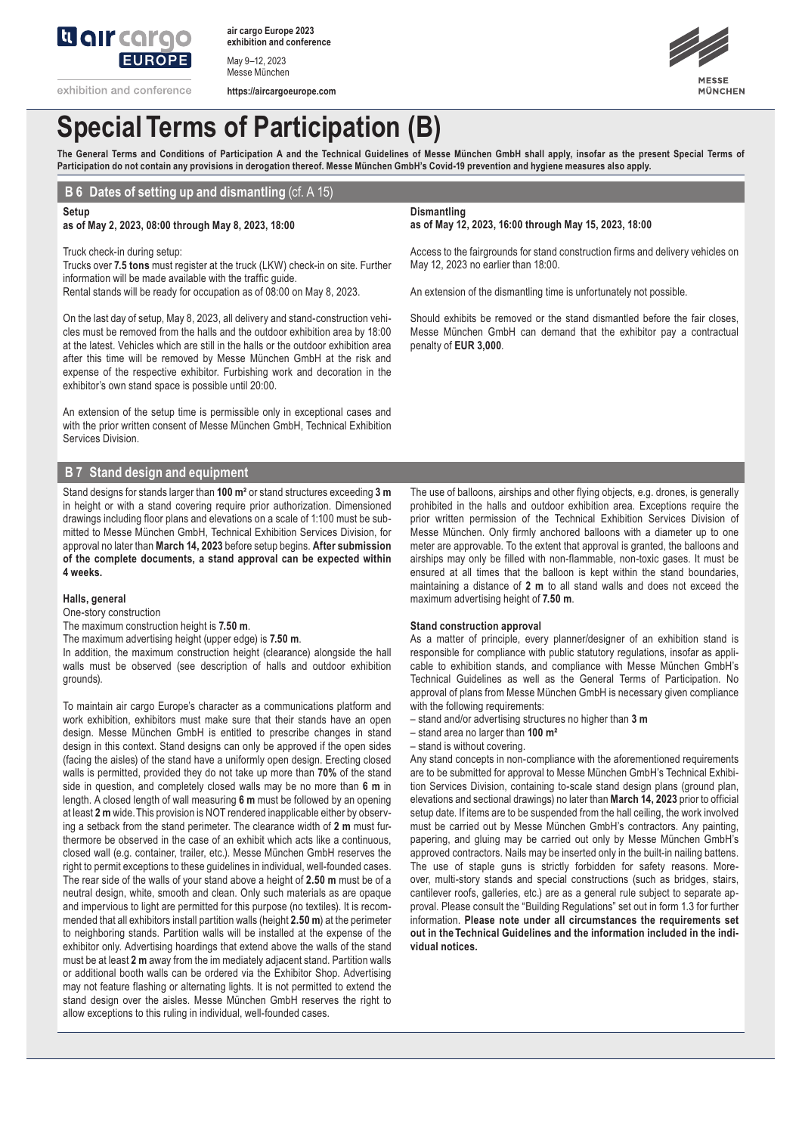

**air cargo Europe 2023 exhibition and conference**

**https://aircargoeurope.com**

May 9–12, 2023 Messe München

exhibition and conference





# **Special Terms of Participation (B)**

The General Terms and Conditions of Participation A and the Technical Guidelines of Messe München GmbH shall apply, insofar as the present Special Terms of **Participation do not contain any provisions in derogation thereof. Messe München GmbH's Covid-19 prevention and hygiene measures also apply.**

# **B 6 Dates of setting up and dismantling** (cf. A 15)

**Setup**

# **as of May 2, 2023, 08:00 through May 8, 2023, 18:00**

Truck check-in during setup:

Trucks over **7.5 tons** must register at the truck (LKW) check-in on site. Further information will be made available with the traffic guide. Rental stands will be ready for occupation as of 08:00 on May 8, 2023.

On the last day of setup, May 8, 2023, all delivery and stand-construction vehicles must be removed from the halls and the outdoor exhibition area by 18:00 at the latest. Vehicles which are still in the halls or the outdoor exhibition area after this time will be removed by Messe München GmbH at the risk and expense of the respective exhibitor. Furbishing work and decoration in the exhibitor's own stand space is possible until 20:00.

An extension of the setup time is permissible only in exceptional cases and with the prior written consent of Messe München GmbH, Technical Exhibition Services Division.

# **B 7 Stand design and equipment**

Stand designs for stands larger than **100 m²** or stand structures exceeding **3 m** in height or with a stand covering require prior authorization. Dimensioned drawings including floor plans and elevations on a scale of 1:100 must be submitted to Messe München GmbH, Technical Exhibition Services Division, for approval no later than **March 14, 2023** before setup begins. **After submission of the complete documents, a stand approval can be expected within 4 weeks.**

### **Halls, general**

One-story construction

The maximum construction height is **7.50 m**.

The maximum advertising height (upper edge) is **7.50 m**.

In addition, the maximum construction height (clearance) alongside the hall walls must be observed (see description of halls and outdoor exhibition grounds).

To maintain air cargo Europe's character as a communications platform and work exhibition, exhibitors must make sure that their stands have an open design. Messe München GmbH is entitled to prescribe changes in stand design in this context. Stand designs can only be approved if the open sides (facing the aisles) of the stand have a uniformly open design. Erecting closed walls is permitted, provided they do not take up more than **70%** of the stand side in question, and completely closed walls may be no more than **6 m** in length. A closed length of wall measuring **6 m** must be followed by an opening at least **2 m** wide. This provision is NOT rendered inapplicable either by observing a setback from the stand perimeter. The clearance width of **2 m** must furthermore be observed in the case of an exhibit which acts like a continuous, closed wall (e.g. container, trailer, etc.). Messe München GmbH reserves the right to permit exceptions to these guidelines in individual, well-founded cases. The rear side of the walls of your stand above a height of **2.50 m** must be of a neutral design, white, smooth and clean. Only such materials as are opaque and impervious to light are permitted for this purpose (no textiles). It is recommended that all exhibitors install partition walls (height **2.50 m**) at the perimeter to neighboring stands. Partition walls will be installed at the expense of the exhibitor only. Advertising hoardings that extend above the walls of the stand must be at least **2 m** away from the im mediately adjacent stand. Partition walls or additional booth walls can be ordered via the Exhibitor Shop. Advertising may not feature flashing or alternating lights. It is not permitted to extend the stand design over the aisles. Messe München GmbH reserves the right to allow exceptions to this ruling in individual, well-founded cases.

# **Dismantling**

**as of May 12, 2023, 16:00 through May 15, 2023, 18:00**

Access to the fairgrounds for stand construction firms and delivery vehicles on May 12, 2023 no earlier than 18:00.

An extension of the dismantling time is unfortunately not possible.

Should exhibits be removed or the stand dismantled before the fair closes, Messe München GmbH can demand that the exhibitor pay a contractual penalty of **EUR 3,000**.

The use of balloons, airships and other flying objects, e.g. drones, is generally prohibited in the halls and outdoor exhibition area. Exceptions require the prior written permission of the Technical Exhibition Services Division of Messe München. Only firmly anchored balloons with a diameter up to one meter are approvable. To the extent that approval is granted, the balloons and airships may only be filled with non-flammable, non-toxic gases. It must be ensured at all times that the balloon is kept within the stand boundaries, maintaining a distance of **2 m** to all stand walls and does not exceed the maximum advertising height of **7.50 m**.

### **Stand construction approval**

As a matter of principle, every planner/designer of an exhibition stand is responsible for compliance with public statutory regulations, insofar as applicable to exhibition stands, and compliance with Messe München GmbH's Technical Guidelines as well as the General Terms of Participation. No approval of plans from Messe München GmbH is necessary given compliance with the following requirements:

- stand and/or advertising structures no higher than **3 m**
- stand area no larger than **100 m²**
- stand is without covering.

Any stand concepts in non-compliance with the aforementioned requirements are to be submitted for approval to Messe München GmbH's Technical Exhibition Services Division, containing to-scale stand design plans (ground plan, elevations and sectional drawings) no later than **March 14, 2023** prior to official setup date. If items are to be suspended from the hall ceiling, the work involved must be carried out by Messe München GmbH's contractors. Any painting, papering, and gluing may be carried out only by Messe München GmbH's approved contractors. Nails may be inserted only in the built-in nailing battens. The use of staple guns is strictly forbidden for safety reasons. Moreover, multi-story stands and special constructions (such as bridges, stairs, cantilever roofs, galleries, etc.) are as a general rule subject to separate approval. Please consult the "Building Regulations" set out in form 1.3 for further information. **Please note under all circumstances the requirements set out in the Technical Guidelines and the information included in the individual notices.**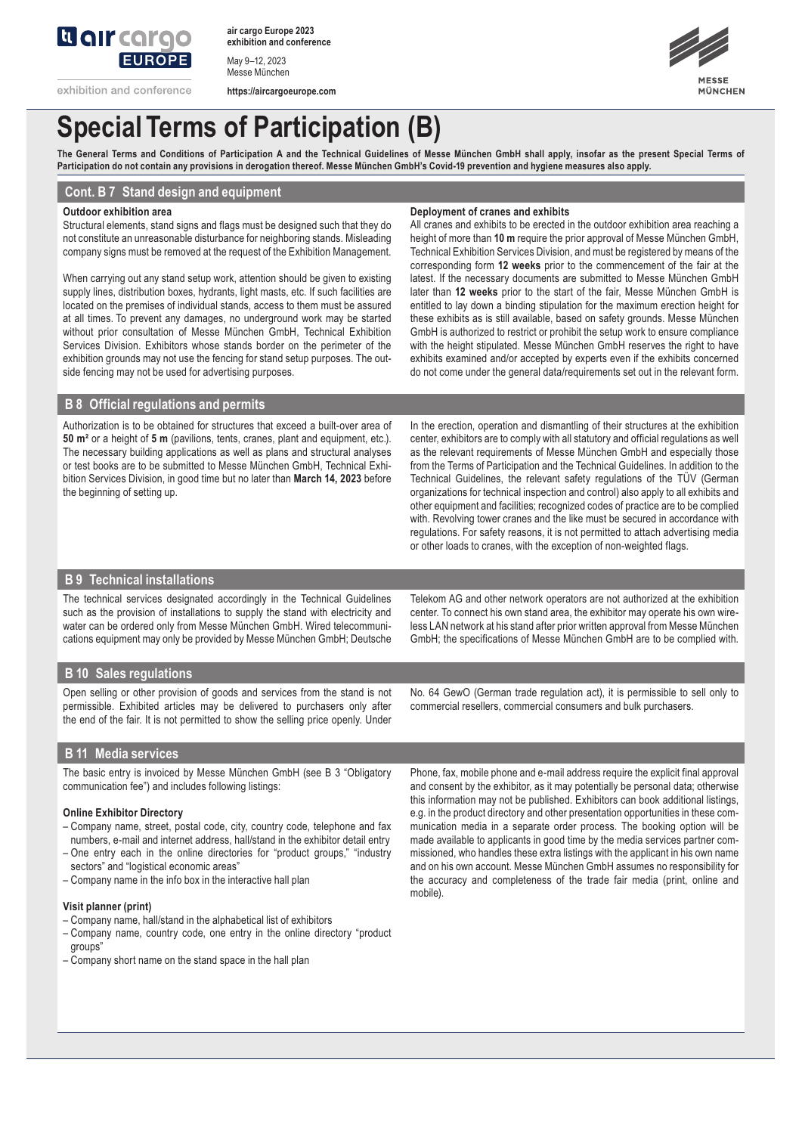

**air cargo Europe 2023 exhibition and conference**

May 9–12, 2023 Messe München

**https://aircargoeurope.com**



# **Special Terms of Participation (B)**

The General Terms and Conditions of Participation A and the Technical Guidelines of Messe München GmbH shall apply, insofar as the present Special Terms of **Participation do not contain any provisions in derogation thereof. Messe München GmbH's Covid-19 prevention and hygiene measures also apply.**

## **Cont. B 7 Stand design and equipment**

#### **Outdoor exhibition area**

Structural elements, stand signs and flags must be designed such that they do not constitute an unreasonable disturbance for neighboring stands. Misleading company signs must be removed at the request of the Exhibition Management.

When carrying out any stand setup work, attention should be given to existing supply lines, distribution boxes, hydrants, light masts, etc. If such facilities are located on the premises of individual stands, access to them must be assured at all times. To prevent any damages, no underground work may be started without prior consultation of Messe München GmbH, Technical Exhibition Services Division. Exhibitors whose stands border on the perimeter of the exhibition grounds may not use the fencing for stand setup purposes. The outside fencing may not be used for advertising purposes.

#### **Deployment of cranes and exhibits**

All cranes and exhibits to be erected in the outdoor exhibition area reaching a height of more than **10 m** require the prior approval of Messe München GmbH, Technical Exhibition Services Division, and must be registered by means of the corresponding form **12 weeks** prior to the commencement of the fair at the latest. If the necessary documents are submitted to Messe München GmbH later than **12 weeks** prior to the start of the fair, Messe München GmbH is entitled to lay down a binding stipulation for the maximum erection height for these exhibits as is still available, based on safety grounds. Messe München GmbH is authorized to restrict or prohibit the setup work to ensure compliance with the height stipulated. Messe München GmbH reserves the right to have exhibits examined and/or accepted by experts even if the exhibits concerned do not come under the general data/requirements set out in the relevant form.

# **B 8 Official regulations and permits**

Authorization is to be obtained for structures that exceed a built-over area of **50 m²** or a height of **5 m** (pavilions, tents, cranes, plant and equipment, etc.). The necessary building applications as well as plans and structural analyses or test books are to be submitted to Messe München GmbH, Technical Exhibition Services Division, in good time but no later than **March 14, 2023** before the beginning of setting up.

In the erection, operation and dismantling of their structures at the exhibition center, exhibitors are to comply with all statutory and official regulations as well as the relevant requirements of Messe München GmbH and especially those from the Terms of Participation and the Technical Guidelines. In addition to the Technical Guidelines, the relevant safety regulations of the TÜV (German organizations for technical inspection and control) also apply to all exhibits and other equipment and facilities; recognized codes of practice are to be complied with. Revolving tower cranes and the like must be secured in accordance with regulations. For safety reasons, it is not permitted to attach advertising media or other loads to cranes, with the exception of non-weighted flags.

## **B 9 Technical installations**

The technical services designated accordingly in the Technical Guidelines such as the provision of installations to supply the stand with electricity and water can be ordered only from Messe München GmbH. Wired telecommunications equipment may only be provided by Messe München GmbH; Deutsche

Telekom AG and other network operators are not authorized at the exhibition center. To connect his own stand area, the exhibitor may operate his own wireless LAN network at his stand after prior written approval from Messe München GmbH; the specifications of Messe München GmbH are to be complied with.

## **B 10 Sales regulations**

Open selling or other provision of goods and services from the stand is not permissible. Exhibited articles may be delivered to purchasers only after the end of the fair. It is not permitted to show the selling price openly. Under No. 64 GewO (German trade regulation act), it is permissible to sell only to commercial resellers, commercial consumers and bulk purchasers.

## **B 11 Media services**

The basic entry is invoiced by Messe München GmbH (see B 3 "Obligatory communication fee") and includes following listings:

### **Online Exhibitor Directory**

- Company name, street, postal code, city, country code, telephone and fax numbers, e-mail and internet address, hall/stand in the exhibitor detail entry
- One entry each in the online directories for "product groups," "industry sectors" and "logistical economic areas"
- Company name in the info box in the interactive hall plan

## **Visit planner (print)**

- Company name, hall/stand in the alphabetical list of exhibitors
- Company name, country code, one entry in the online directory "product groups"
- Company short name on the stand space in the hall plan

Phone, fax, mobile phone and e-mail address require the explicit final approval and consent by the exhibitor, as it may potentially be personal data; otherwise this information may not be published. Exhibitors can book additional listings, e.g. in the product directory and other presentation opportunities in these communication media in a separate order process. The booking option will be made available to applicants in good time by the media services partner commissioned, who handles these extra listings with the applicant in his own name and on his own account. Messe München GmbH assumes no responsibility for the accuracy and completeness of the trade fair media (print, online and mobile).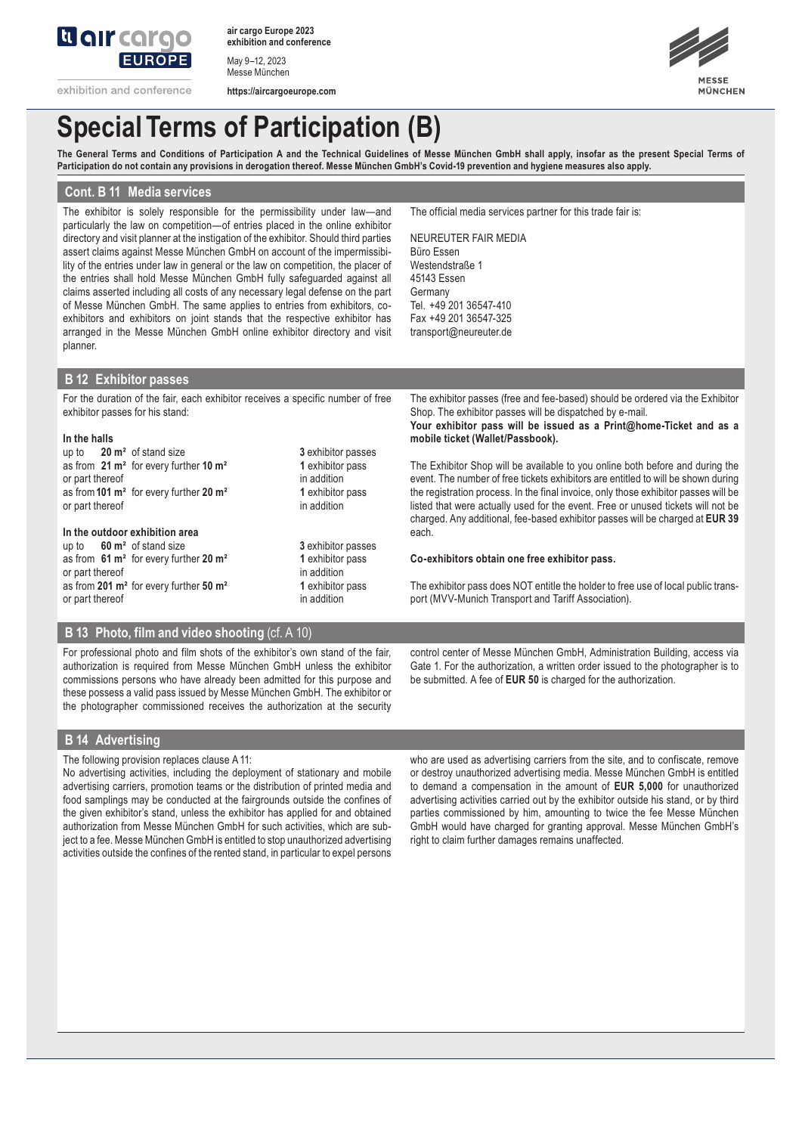

**air cargo Europe 2023 exhibition and conference**

May 9–12, 2023 Messe München

exhibition and conference **https://aircargoeurope.com**



# **Special Terms of Participation (B)**

The General Terms and Conditions of Participation A and the Technical Guidelines of Messe München GmbH shall apply, insofar as the present Special Terms of **Participation do not contain any provisions in derogation thereof. Messe München GmbH's Covid-19 prevention and hygiene measures also apply.**

## **Cont. B 11 Media services**

The exhibitor is solely responsible for the permissibility under law—and particularly the law on competition—of entries placed in the online exhibitor directory and visit planner at the instigation of the exhibitor. Should third parties assert claims against Messe München GmbH on account of the impermissibility of the entries under law in general or the law on competition, the placer of the entries shall hold Messe München GmbH fully safeguarded against all claims asserted including all costs of any necessary legal defense on the part of Messe München GmbH. The same applies to entries from exhibitors, coexhibitors and exhibitors on joint stands that the respective exhibitor has arranged in the Messe München GmbH online exhibitor directory and visit planner.

The official media services partner for this trade fair is:

NEUREUTER FAIR MEDIA Büro Essen Westendstraße 1 45143 Essen Germany Tel. +49 201 36547-410 Fax +49 201 36547-325 transport@neureuter.de

## **B 12 Exhibitor passes**

For the duration of the fair, each exhibitor receives a specific number of free exhibitor passes for his stand:

#### **In the halls**

up to **20 m²** of stand size **3** exhibitor passes as from  $21 \text{ m}^2$  for every further  $10 \text{ m}^2$ or part thereof in addition as from**101 m²** for every further **20 m² 1** exhibitor pass or part thereof

## **In the outdoor exhibition area**

- up to **60 m²** of stand size **3** exhibitor passes as from **61 m²** for every further **20 m² 1** exhibitor pass or part thereof in addition as from **201 m²** for every further **50 m² 1** exhibitor pass or part thereof in addition
- -

The exhibitor passes (free and fee-based) should be ordered via the Exhibitor Shop. The exhibitor passes will be dispatched by e-mail. **Your exhibitor pass will be issued as a Print@home-Ticket and as a mobile ticket (Wallet/Passbook).** 

The Exhibitor Shop will be available to you online both before and during the event. The number of free tickets exhibitors are entitled to will be shown during the registration process. In the final invoice, only those exhibitor passes will be listed that were actually used for the event. Free or unused tickets will not be charged. Any additional, fee-based exhibitor passes will be charged at **EUR 39**  each.

### **Co-exhibitors obtain one free exhibitor pass.**

The exhibitor pass does NOT entitle the holder to free use of local public transport (MVV-Munich Transport and Tariff Association).

# **B 13 Photo, film and video shooting** (cf. A 10)

For professional photo and film shots of the exhibitor's own stand of the fair, authorization is required from Messe München GmbH unless the exhibitor commissions persons who have already been admitted for this purpose and these possess a valid pass issued by Messe München GmbH. The exhibitor or the photographer commissioned receives the authorization at the security control center of Messe München GmbH, Administration Building, access via Gate 1. For the authorization, a written order issued to the photographer is to be submitted. A fee of **EUR 50** is charged for the authorization.

# **B 14 Advertising**

The following provision replaces clause A 11:

No advertising activities, including the deployment of stationary and mobile advertising carriers, promotion teams or the distribution of printed media and food samplings may be conducted at the fairgrounds outside the confines of the given exhibitor's stand, unless the exhibitor has applied for and obtained authorization from Messe München GmbH for such activities, which are subject to a fee. Messe München GmbH is entitled to stop unauthorized advertising activities outside the confines of the rented stand, in particular to expel persons who are used as advertising carriers from the site, and to confiscate, remove or destroy unauthorized advertising media. Messe München GmbH is entitled to demand a compensation in the amount of **EUR 5,000** for unauthorized advertising activities carried out by the exhibitor outside his stand, or by third parties commissioned by him, amounting to twice the fee Messe München GmbH would have charged for granting approval. Messe München GmbH's right to claim further damages remains unaffected.